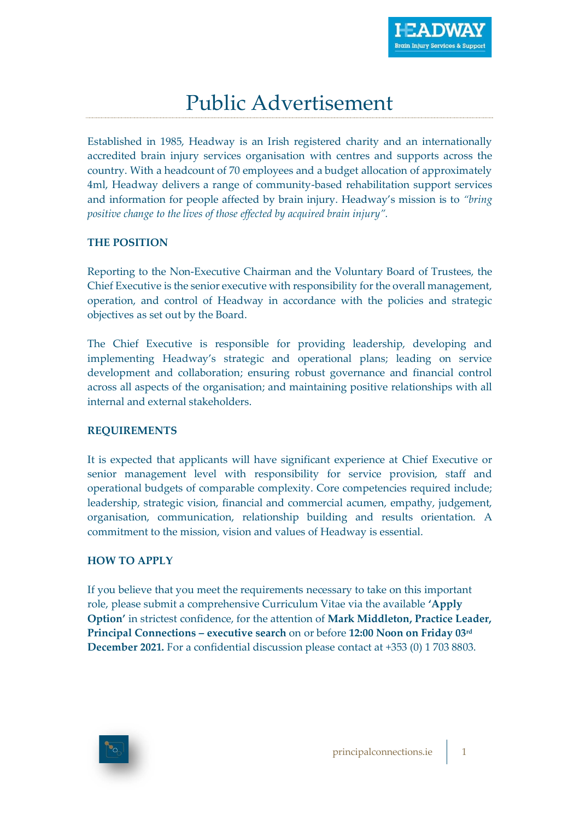## Public Advertisement

Established in 1985, Headway is an Irish registered charity and an internationally accredited brain injury services organisation with centres and supports across the country. With a headcount of 70 employees and a budget allocation of approximately 4ml, Headway delivers a range of community-based rehabilitation support services and information for people affected by brain injury. Headway's mission is to *"bring positive change to the lives of those effected by acquired brain injury".*

## **THE POSITION**

Reporting to the Non-Executive Chairman and the Voluntary Board of Trustees, the Chief Executive is the senior executive with responsibility for the overall management, operation, and control of Headway in accordance with the policies and strategic objectives as set out by the Board.

The Chief Executive is responsible for providing leadership, developing and implementing Headway's strategic and operational plans; leading on service development and collaboration; ensuring robust governance and financial control across all aspects of the organisation; and maintaining positive relationships with all internal and external stakeholders.

## **REQUIREMENTS**

It is expected that applicants will have significant experience at Chief Executive or senior management level with responsibility for service provision, staff and operational budgets of comparable complexity. Core competencies required include; leadership, strategic vision, financial and commercial acumen, empathy, judgement, organisation, communication, relationship building and results orientation. A commitment to the mission, vision and values of Headway is essential.

## **HOW TO APPLY**

If you believe that you meet the requirements necessary to take on this important role, please submit a comprehensive Curriculum Vitae via the available **'Apply Option'** in strictest confidence, for the attention of **Mark Middleton, Practice Leader, Principal Connections – executive search** on or before **12:00 Noon on Friday 03rd December 2021.** For a confidential discussion please contact at +353 (0) 1 703 8803.